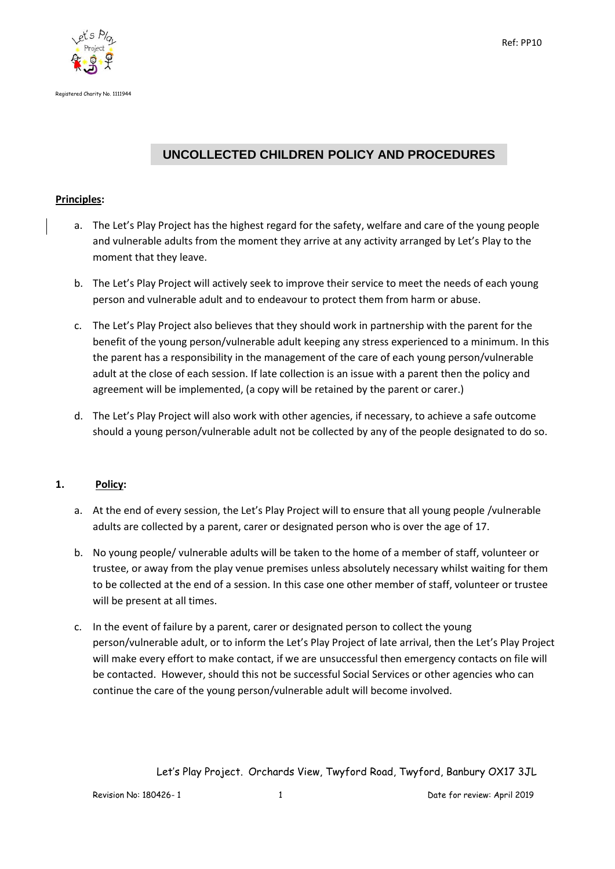

Registered Charity No. 1111944

# **UNCOLLECTED CHILDREN POLICY AND PROCEDURES**

### **Principles:**

- a. The Let's Play Project has the highest regard for the safety, welfare and care of the young people and vulnerable adults from the moment they arrive at any activity arranged by Let's Play to the moment that they leave.
- b. The Let's Play Project will actively seek to improve their service to meet the needs of each young person and vulnerable adult and to endeavour to protect them from harm or abuse.
- c. The Let's Play Project also believes that they should work in partnership with the parent for the benefit of the young person/vulnerable adult keeping any stress experienced to a minimum. In this the parent has a responsibility in the management of the care of each young person/vulnerable adult at the close of each session. If late collection is an issue with a parent then the policy and agreement will be implemented, (a copy will be retained by the parent or carer.)
- d. The Let's Play Project will also work with other agencies, if necessary, to achieve a safe outcome should a young person/vulnerable adult not be collected by any of the people designated to do so.

## **1. Policy:**

- a. At the end of every session, the Let's Play Project will to ensure that all young people /vulnerable adults are collected by a parent, carer or designated person who is over the age of 17.
- b. No young people/ vulnerable adults will be taken to the home of a member of staff, volunteer or trustee, or away from the play venue premises unless absolutely necessary whilst waiting for them to be collected at the end of a session. In this case one other member of staff, volunteer or trustee will be present at all times.
- c. In the event of failure by a parent, carer or designated person to collect the young person/vulnerable adult, or to inform the Let's Play Project of late arrival, then the Let's Play Project will make every effort to make contact, if we are unsuccessful then emergency contacts on file will be contacted. However, should this not be successful Social Services or other agencies who can continue the care of the young person/vulnerable adult will become involved.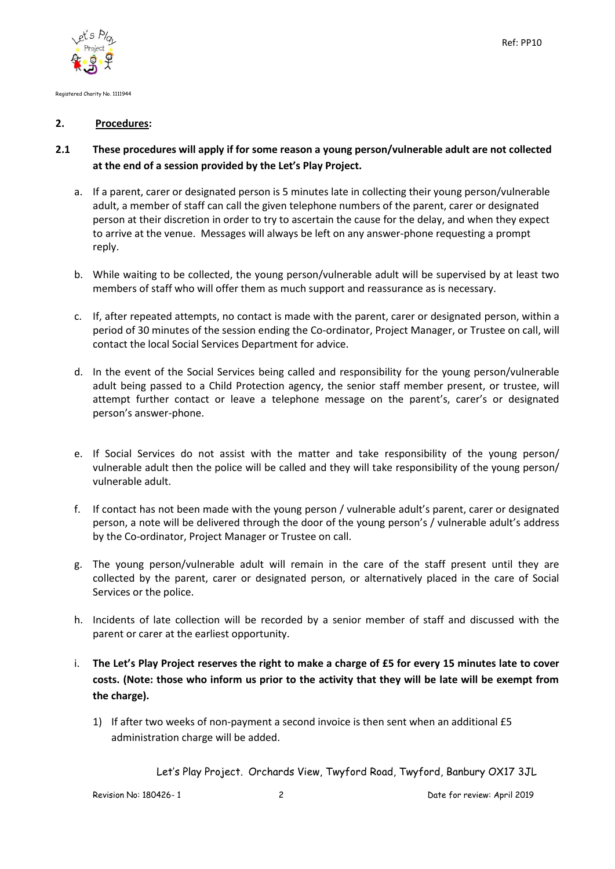

Registered Charity No. 1111944

#### **2. Procedures:**

## **2.1 These procedures will apply if for some reason a young person/vulnerable adult are not collected at the end of a session provided by the Let's Play Project.**

- a. If a parent, carer or designated person is 5 minutes late in collecting their young person/vulnerable adult, a member of staff can call the given telephone numbers of the parent, carer or designated person at their discretion in order to try to ascertain the cause for the delay, and when they expect to arrive at the venue. Messages will always be left on any answer-phone requesting a prompt reply.
- b. While waiting to be collected, the young person/vulnerable adult will be supervised by at least two members of staff who will offer them as much support and reassurance as is necessary.
- c. If, after repeated attempts, no contact is made with the parent, carer or designated person, within a period of 30 minutes of the session ending the Co-ordinator, Project Manager, or Trustee on call, will contact the local Social Services Department for advice.
- d. In the event of the Social Services being called and responsibility for the young person/vulnerable adult being passed to a Child Protection agency, the senior staff member present, or trustee, will attempt further contact or leave a telephone message on the parent's, carer's or designated person's answer-phone.
- e. If Social Services do not assist with the matter and take responsibility of the young person/ vulnerable adult then the police will be called and they will take responsibility of the young person/ vulnerable adult.
- f. If contact has not been made with the young person / vulnerable adult's parent, carer or designated person, a note will be delivered through the door of the young person's / vulnerable adult's address by the Co-ordinator, Project Manager or Trustee on call.
- g. The young person/vulnerable adult will remain in the care of the staff present until they are collected by the parent, carer or designated person, or alternatively placed in the care of Social Services or the police.
- h. Incidents of late collection will be recorded by a senior member of staff and discussed with the parent or carer at the earliest opportunity.
- i. **The Let's Play Project reserves the right to make a charge of £5 for every 15 minutes late to cover costs. (Note: those who inform us prior to the activity that they will be late will be exempt from the charge).**
	- 1) If after two weeks of non-payment a second invoice is then sent when an additional £5 administration charge will be added.

Let's Play Project. Orchards View, Twyford Road, Twyford, Banbury OX17 3JL